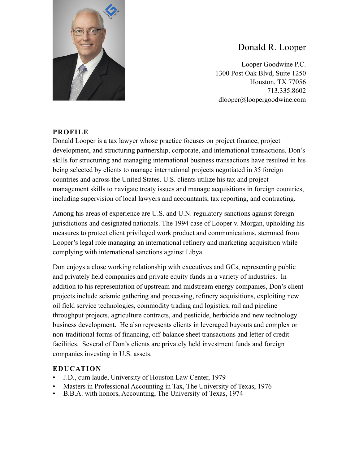

# Donald R. Looper

Looper Goodwine P.C. 1300 Post Oak Blvd, Suite 1250 Houston, TX 77056 713.335.8602 dlooper@loopergoodwine.com

# **PROFILE**

Donald Looper is a tax lawyer whose practice focuses on project finance, project development, and structuring partnership, corporate, and international transactions. Don's skills for structuring and managing international business transactions have resulted in his being selected by clients to manage international projects negotiated in 35 foreign countries and across the United States. U.S. clients utilize his tax and project management skills to navigate treaty issues and manage acquisitions in foreign countries, including supervision of local lawyers and accountants, tax reporting, and contracting.

Among his areas of experience are U.S. and U.N. regulatory sanctions against foreign jurisdictions and designated nationals. The 1994 case of Looper v. Morgan, upholding his measures to protect client privileged work product and communications, stemmed from Looper's legal role managing an international refinery and marketing acquisition while complying with international sanctions against Libya.

Don enjoys a close working relationship with executives and GCs, representing public and privately held companies and private equity funds in a variety of industries. In addition to his representation of upstream and midstream energy companies, Don's client projects include seismic gathering and processing, refinery acquisitions, exploiting new oil field service technologies, commodity trading and logistics, rail and pipeline throughput projects, agriculture contracts, and pesticide, herbicide and new technology business development. He also represents clients in leveraged buyouts and complex or non-traditional forms of financing, off-balance sheet transactions and letter of credit facilities. Several of Don's clients are privately held investment funds and foreign companies investing in U.S. assets.

### **EDUCATION**

- J.D., cum laude, University of Houston Law Center, 1979
- Masters in Professional Accounting in Tax, The University of Texas, 1976
- B.B.A. with honors, Accounting, The University of Texas, 1974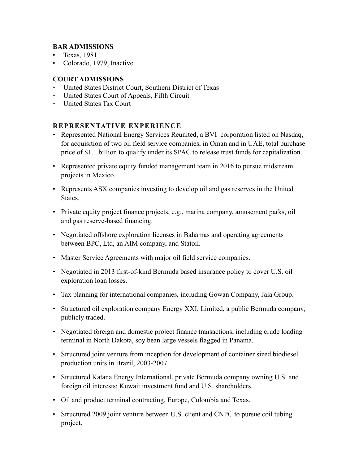# **BAR ADMISSIONS**

- Texas, 1981
- Colorado, 1979, Inactive

## **COURT ADMISSIONS**

- United States District Court, Southern District of Texas
- United States Court of Appeals, Fifth Circuit
- United States Tax Court

## **REPRESENTATIVE EXPERIENCE**

- Represented National Energy Services Reunited, a BVI corporation listed on Nasdaq, for acquisition of two oil field service companies, in Oman and in UAE, total purchase price of \$1.1 billion to qualify under its SPAC to release trust funds for capitalization.
- Represented private equity funded management team in 2016 to pursue midstream projects in Mexico.
- Represents ASX companies investing to develop oil and gas reserves in the United States.
- Private equity project finance projects, e.g., marina company, amusement parks, oil and gas reserve-based financing.
- Negotiated offshore exploration licenses in Bahamas and operating agreements between BPC, Ltd, an AIM company, and Statoil.
- Master Service Agreements with major oil field service companies.
- Negotiated in 2013 first-of-kind Bermuda based insurance policy to cover U.S. oil exploration loan losses.
- Tax planning for international companies, including Gowan Company, Jala Group.
- Structured oil exploration company Energy XXI, Limited, a public Bermuda company, publicly traded.
- Negotiated foreign and domestic project finance transactions, including crude loading terminal in North Dakota, soy bean large vessels flagged in Panama.
- Structured joint venture from inception for development of container sized biodiesel production units in Brazil, 2003-2007.
- Structured Katana Energy International, private Bermuda company owning U.S. and foreign oil interests; Kuwait investment fund and U.S. shareholders.
- Oil and product terminal contracting, Europe, Colombia and Texas.
- Structured 2009 joint venture between U.S. client and CNPC to pursue coil tubing project.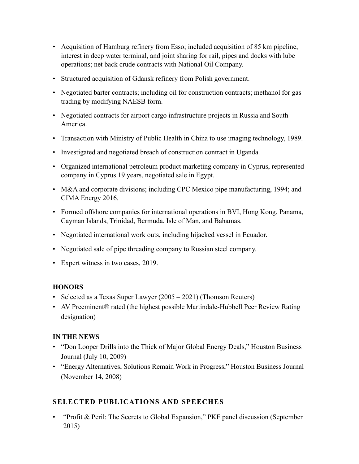- Acquisition of Hamburg refinery from Esso; included acquisition of 85 km pipeline, interest in deep water terminal, and joint sharing for rail, pipes and docks with lube operations; net back crude contracts with National Oil Company.
- Structured acquisition of Gdansk refinery from Polish government.
- Negotiated barter contracts; including oil for construction contracts; methanol for gas trading by modifying NAESB form.
- Negotiated contracts for airport cargo infrastructure projects in Russia and South America.
- Transaction with Ministry of Public Health in China to use imaging technology, 1989.
- Investigated and negotiated breach of construction contract in Uganda.
- Organized international petroleum product marketing company in Cyprus, represented company in Cyprus 19 years, negotiated sale in Egypt.
- M&A and corporate divisions; including CPC Mexico pipe manufacturing, 1994; and CIMA Energy 2016.
- Formed offshore companies for international operations in BVI, Hong Kong, Panama, Cayman Islands, Trinidad, Bermuda, Isle of Man, and Bahamas.
- Negotiated international work outs, including hijacked vessel in Ecuador.
- Negotiated sale of pipe threading company to Russian steel company.
- Expert witness in two cases, 2019.

### **HONORS**

- Selected as a Texas Super Lawyer (2005 2021) (Thomson Reuters)
- AV Preeminent® rated (the highest possible Martindale-Hubbell Peer Review Rating designation)

### **IN THE NEWS**

- "Don Looper Drills into the Thick of Major Global Energy Deals," Houston Business Journal (July 10, 2009)
- "Energy Alternatives, Solutions Remain Work in Progress," Houston Business Journal (November 14, 2008)

# **SELECTED PUBLICATIONS AND SPEECHES**

• "Profit & Peril: The Secrets to Global Expansion," PKF panel discussion (September 2015)